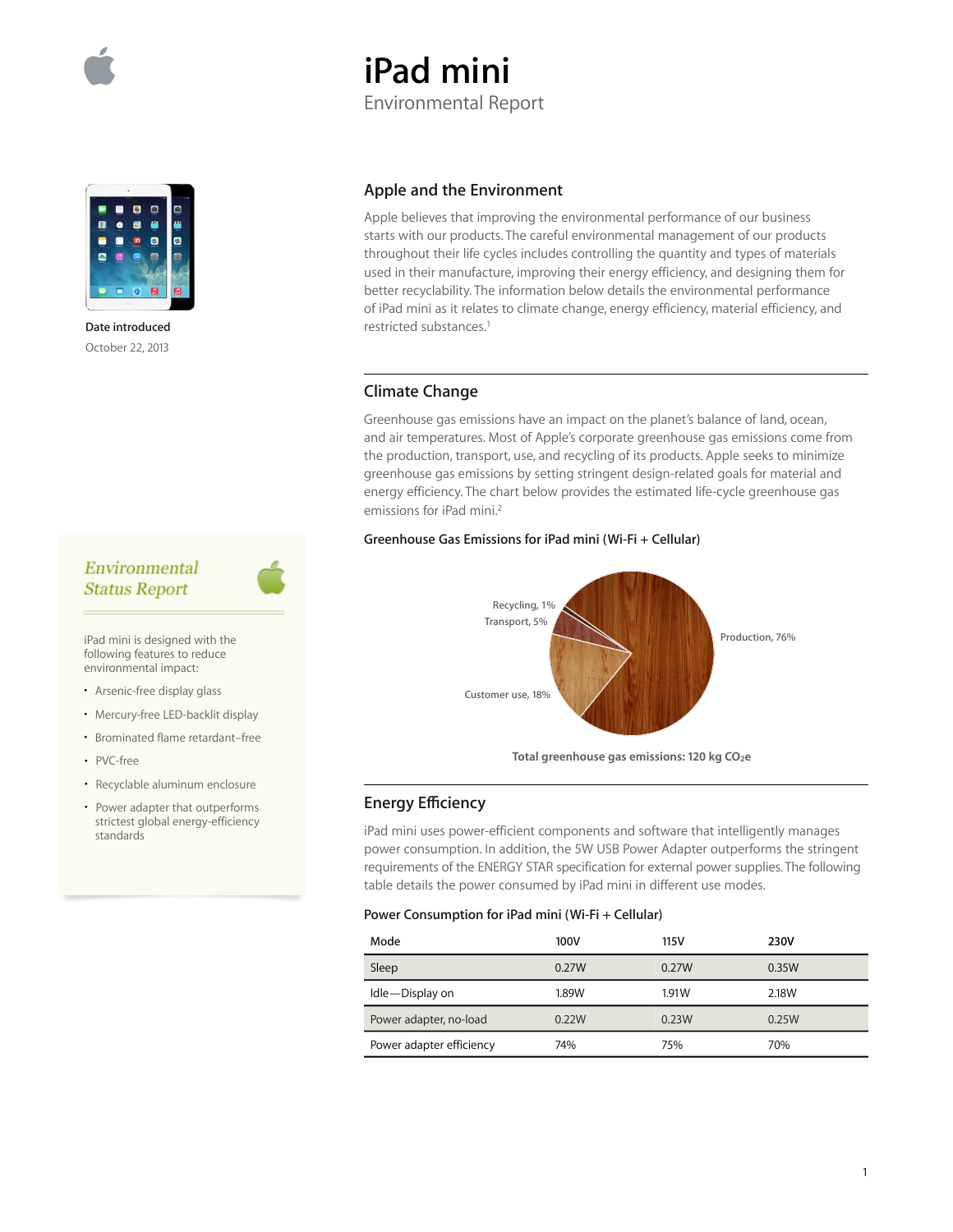



**Date introduced**  October 22, 2013

# Environmental **Status Report**

iPad mini is designed with the following features to reduce environmental impact:

- Arsenic-free display glass
- Mercury-free LED-backlit display
- Brominated flame retardant–free
- PVC-free
- Recyclable aluminum enclosure
- Power adapter that outperforms strictest global energy-efficiency standards

### **Apple and the Environment**

**iPad mini** 

Environmental Report

Apple believes that improving the environmental performance of our business starts with our products. The careful environmental management of our products throughout their life cycles includes controlling the quantity and types of materials used in their manufacture, improving their energy efficiency, and designing them for better recyclability. The information below details the environmental performance of iPad mini as it relates to climate change, energy efficiency, material efficiency, and restricted substances.1

### **Climate Change**

Greenhouse gas emissions have an impact on the planet's balance of land, ocean, and air temperatures. Most of Apple's corporate greenhouse gas emissions come from the production, transport, use, and recycling of its products. Apple seeks to minimize greenhouse gas emissions by setting stringent design-related goals for material and energy efficiency. The chart below provides the estimated life-cycle greenhouse gas emissions for iPad mini.2

#### **Greenhouse Gas Emissions for iPad mini (Wi-Fi + Cellular)**



Total greenhouse gas emissions: 120 kg CO<sub>2</sub>e

### **Energy E∑ciency**

iPad mini uses power-efficient components and software that intelligently manages power consumption. In addition, the 5W USB Power Adapter outperforms the stringent requirements of the ENERGY STAR specification for external power supplies. The following table details the power consumed by iPad mini in different use modes.

#### **Power Consumption for iPad mini (Wi-Fi + Cellular)**

| Mode                     | 100V  | 115V  | 230V  |
|--------------------------|-------|-------|-------|
| Sleep                    | 0.27W | 0.27W | 0.35W |
| Idle-Display on          | 1.89W | 1.91W | 2.18W |
| Power adapter, no-load   | 0.22W | 0.23W | 0.25W |
| Power adapter efficiency | 74%   | 75%   | 70%   |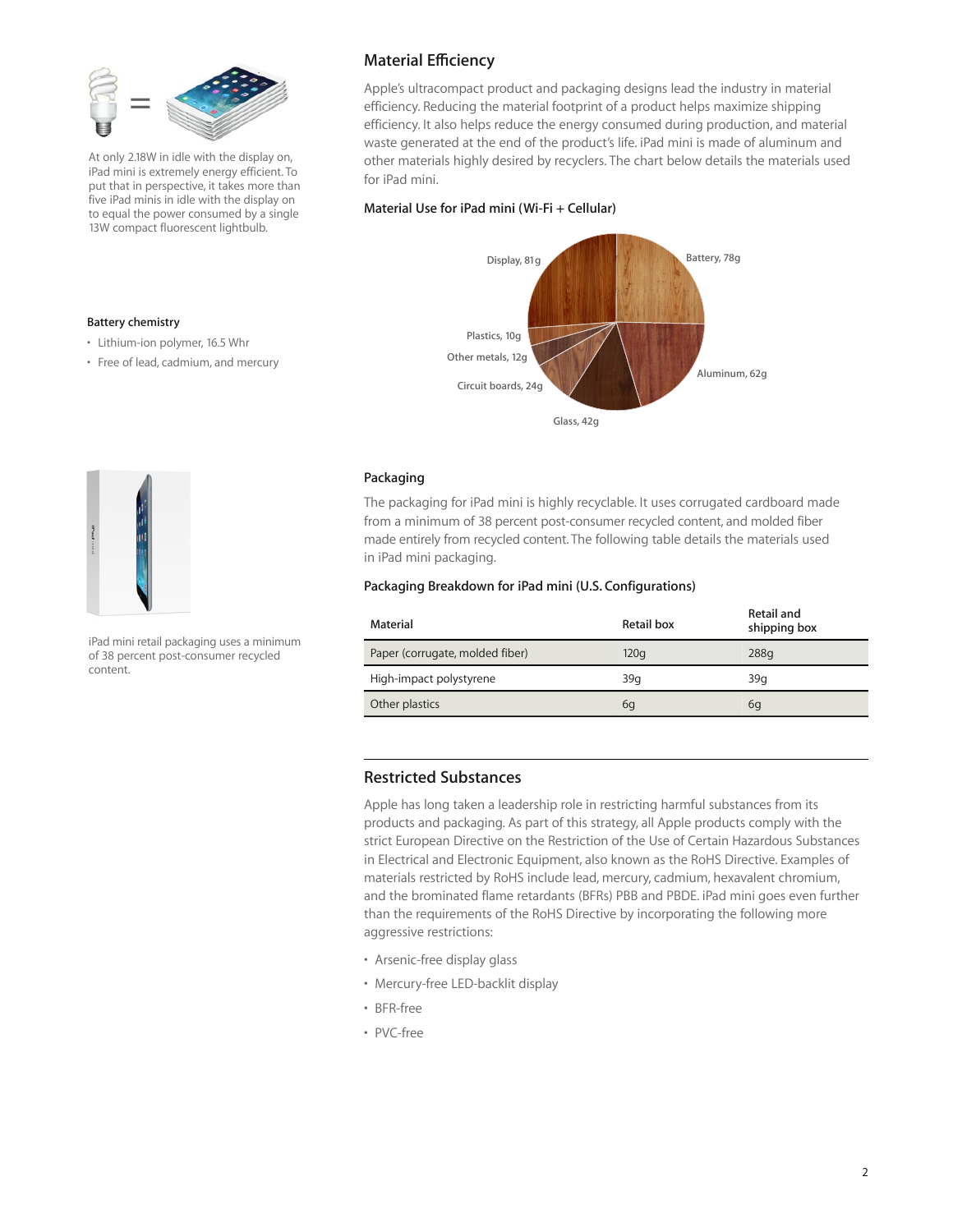

At only 2.18W in idle with the display on, iPad mini is extremely energy efficient. To put that in perspective, it takes more than five iPad minis in idle with the display on to equal the power consumed by a single 13W compact fluorescent lightbulb.

## **Material E∑ciency**

Apple's ultracompact product and packaging designs lead the industry in material efficiency. Reducing the material footprint of a product helps maximize shipping efficiency. It also helps reduce the energy consumed during production, and material waste generated at the end of the product's life. iPad mini is made of aluminum and other materials highly desired by recyclers. The chart below details the materials used for iPad mini.

#### **Material Use for iPad mini (Wi-Fi + Cellular)**





**Battery chemistry** 

• Lithium-ion polymer, 16.5 Whr • Free of lead, cadmium, and mercury

iPad mini retail packaging uses a minimum of 38 percent post-consumer recycled content.

#### **Packaging**

The packaging for iPad mini is highly recyclable. It uses corrugated cardboard made from a minimum of 38 percent post-consumer recycled content, and molded fiber made entirely from recycled content. The following table details the materials used in iPad mini packaging.

#### **Packaging Breakdown for iPad mini (U.S. Configurations)**

| Material                        | Retail box | Retail and<br>shipping box |
|---------------------------------|------------|----------------------------|
| Paper (corrugate, molded fiber) | 120q       | 288q                       |
| High-impact polystyrene         | 39q        | 39q                        |
| Other plastics                  | 6q         | 6q                         |

## **Restricted Substances**

Apple has long taken a leadership role in restricting harmful substances from its products and packaging. As part of this strategy, all Apple products comply with the strict European Directive on the Restriction of the Use of Certain Hazardous Substances in Electrical and Electronic Equipment, also known as the RoHS Directive. Examples of materials restricted by RoHS include lead, mercury, cadmium, hexavalent chromium, and the brominated flame retardants (BFRs) PBB and PBDE. iPad mini goes even further than the requirements of the RoHS Directive by incorporating the following more aggressive restrictions:

- Arsenic-free display glass
- Mercury-free LED-backlit display
- BFR-free
- PVC-free